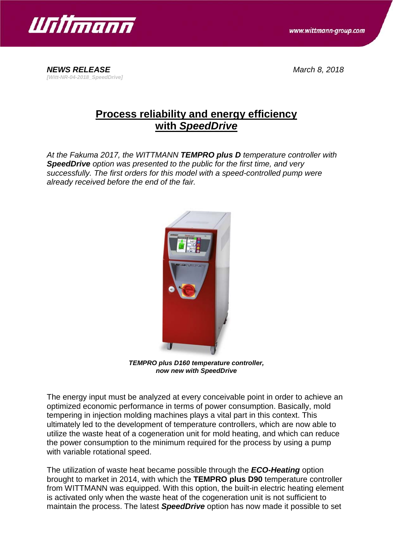

*NEWS RELEASE March 8, 2018 [Witt-NR-04-2018\_SpeedDrive]*

# **Process reliability and energy efficiency with** *SpeedDrive*

*At the Fakuma 2017, the WITTMANN TEMPRO plus D temperature controller with SpeedDrive option was presented to the public for the first time, and very successfully. The first orders for this model with a speed-controlled pump were already received before the end of the fair.*



*TEMPRO plus D160 temperature controller, now new with SpeedDrive*

The energy input must be analyzed at every conceivable point in order to achieve an optimized economic performance in terms of power consumption. Basically, mold tempering in injection molding machines plays a vital part in this context. This ultimately led to the development of temperature controllers, which are now able to utilize the waste heat of a cogeneration unit for mold heating, and which can reduce the power consumption to the minimum required for the process by using a pump with variable rotational speed.

The utilization of waste heat became possible through the *ECO-Heating* option brought to market in 2014, with which the **TEMPRO plus D90** temperature controller from WITTMANN was equipped. With this option, the built-in electric heating element is activated only when the waste heat of the cogeneration unit is not sufficient to maintain the process. The latest *SpeedDrive* option has now made it possible to set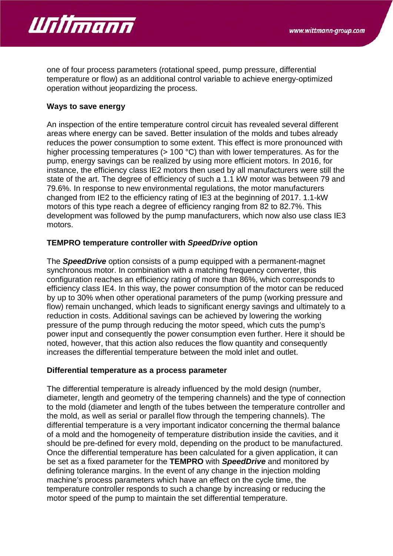

one of four process parameters (rotational speed, pump pressure, differential temperature or flow) as an additional control variable to achieve energy-optimized operation without jeopardizing the process.

## **Ways to save energy**

An inspection of the entire temperature control circuit has revealed several different areas where energy can be saved. Better insulation of the molds and tubes already reduces the power consumption to some extent. This effect is more pronounced with higher processing temperatures (> 100 °C) than with lower temperatures. As for the pump, energy savings can be realized by using more efficient motors. In 2016, for instance, the efficiency class IE2 motors then used by all manufacturers were still the state of the art. The degree of efficiency of such a 1.1 kW motor was between 79 and 79.6%. In response to new environmental regulations, the motor manufacturers changed from IE2 to the efficiency rating of IE3 at the beginning of 2017. 1.1-kW motors of this type reach a degree of efficiency ranging from 82 to 82.7%. This development was followed by the pump manufacturers, which now also use class IE3 motors.

### **TEMPRO temperature controller with** *SpeedDrive* **option**

The *SpeedDrive* option consists of a pump equipped with a permanent-magnet synchronous motor. In combination with a matching frequency converter, this configuration reaches an efficiency rating of more than 86%, which corresponds to efficiency class IE4. In this way, the power consumption of the motor can be reduced by up to 30% when other operational parameters of the pump (working pressure and flow) remain unchanged, which leads to significant energy savings and ultimately to a reduction in costs. Additional savings can be achieved by lowering the working pressure of the pump through reducing the motor speed, which cuts the pump's power input and consequently the power consumption even further. Here it should be noted, however, that this action also reduces the flow quantity and consequently increases the differential temperature between the mold inlet and outlet.

#### **Differential temperature as a process parameter**

The differential temperature is already influenced by the mold design (number, diameter, length and geometry of the tempering channels) and the type of connection to the mold (diameter and length of the tubes between the temperature controller and the mold, as well as serial or parallel flow through the tempering channels). The differential temperature is a very important indicator concerning the thermal balance of a mold and the homogeneity of temperature distribution inside the cavities, and it should be pre-defined for every mold, depending on the product to be manufactured. Once the differential temperature has been calculated for a given application, it can be set as a fixed parameter for the **TEMPRO** with *SpeedDrive* and monitored by defining tolerance margins. In the event of any change in the injection molding machine's process parameters which have an effect on the cycle time, the temperature controller responds to such a change by increasing or reducing the motor speed of the pump to maintain the set differential temperature.